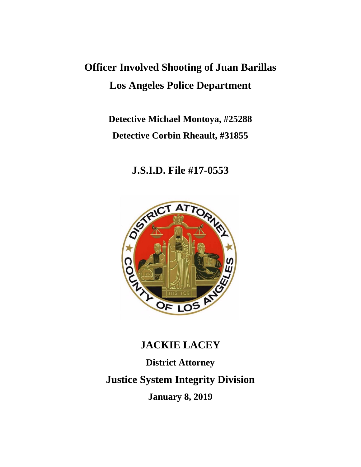## **Officer Involved Shooting of Juan Barillas Los Angeles Police Department**

### **Detective Michael Montoya, #25288 Detective Corbin Rheault, #31855**

### **J.S.I.D. File #17-0553**



# **JACKIE LACEY District Attorney Justice System Integrity Division January 8, 2019**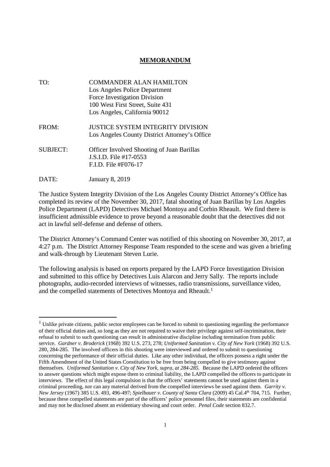#### **MEMORANDUM**

| TO:             | <b>COMMANDER ALAN HAMILTON</b>                    |
|-----------------|---------------------------------------------------|
|                 | Los Angeles Police Department                     |
|                 | Force Investigation Division                      |
|                 | 100 West First Street, Suite 431                  |
|                 | Los Angeles, California 90012                     |
| FROM:           | <b>JUSTICE SYSTEM INTEGRITY DIVISION</b>          |
|                 | Los Angeles County District Attorney's Office     |
| <b>SUBJECT:</b> | <b>Officer Involved Shooting of Juan Barillas</b> |
|                 | J.S.I.D. File #17-0553                            |
|                 | F.I.D. File #F076-17                              |
| DATE:           | <b>January 8, 2019</b>                            |

The Justice System Integrity Division of the Los Angeles County District Attorney's Office has completed its review of the November 30, 2017, fatal shooting of Juan Barillas by Los Angeles Police Department (LAPD) Detectives Michael Montoya and Corbin Rheault. We find there is insufficient admissible evidence to prove beyond a reasonable doubt that the detectives did not act in lawful self-defense and defense of others.

The District Attorney's Command Center was notified of this shooting on November 30, 2017, at 4:27 p.m. The District Attorney Response Team responded to the scene and was given a briefing and walk-through by Lieutenant Steven Lurie.

The following analysis is based on reports prepared by the LAPD Force Investigation Division and submitted to this office by Detectives Luis Alarcon and Jerry Sally. The reports include photographs, audio-recorded interviews of witnesses, radio transmissions, surveillance video, and the compelled statements of Detectives Montoya and Rheault.<sup>1</sup>

 $1$  Unlike private citizens, public sector employees can be forced to submit to questioning regarding the performance of their official duties and, so long as they are not required to waive their privilege against self-incrimination, their refusal to submit to such questioning can result in administrative discipline including termination from public service. *Gardner v. Broderick* (1968) 392 U.S. 273, 278; *Uniformed Sanitation v. City of New York* (1968) 392 U.S. 280, 284-285. The involved officers in this shooting were interviewed and ordered to submit to questioning concerning the performance of their official duties. Like any other individual, the officers possess a right under the Fifth Amendment of the United States Constitution to be free from being compelled to give testimony against themselves. *Uniformed Sanitation v. City of New York, supra, at 284-285.* Because the LAPD ordered the officers to answer questions which might expose them to criminal liability, the LAPD compelled the officers to participate in interviews. The effect of this legal compulsion is that the officers' statements cannot be used against them in a criminal proceeding, nor can any material derived from the compelled interviews be used against them. *Garrity v. New Jersey* (1967) 385 U.S. 493, 496-497; *Spielbauer v. County of Santa Clara* (2009) 45 Cal.4th 704, 715. Further, because these compelled statements are part of the officers' police personnel files, their statements are confidential and may not be disclosed absent an evidentiary showing and court order. *Penal Code* section 832.7.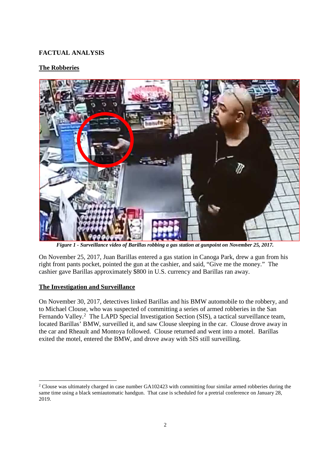#### **FACTUAL ANALYSIS**

#### **The Robberies**



*Figure 1 - Surveillance video of Barillas robbing a gas station at gunpoint on November 25, 2017.*

On November 25, 2017, Juan Barillas entered a gas station in Canoga Park, drew a gun from his right front pants pocket, pointed the gun at the cashier, and said, "Give me the money." The cashier gave Barillas approximately \$800 in U.S. currency and Barillas ran away.

#### **The Investigation and Surveillance**

On November 30, 2017, detectives linked Barillas and his BMW automobile to the robbery, and to Michael Clouse, who was suspected of committing a series of armed robberies in the San Fernando Valley.<sup>2</sup> The LAPD Special Investigation Section (SIS), a tactical surveillance team, located Barillas' BMW, surveilled it, and saw Clouse sleeping in the car. Clouse drove away in the car and Rheault and Montoya followed. Clouse returned and went into a motel. Barillas exited the motel, entered the BMW, and drove away with SIS still surveilling.

<sup>&</sup>lt;sup>2</sup> Clouse was ultimately charged in case number GA102423 with committing four similar armed robberies during the same time using a black semiautomatic handgun. That case is scheduled for a pretrial conference on January 28, 2019.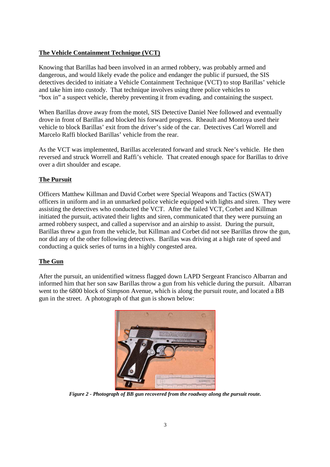#### **The Vehicle Containment Technique (VCT)**

Knowing that Barillas had been involved in an armed robbery, was probably armed and dangerous, and would likely evade the police and endanger the public if pursued, the SIS detectives decided to initiate a Vehicle Containment Technique (VCT) to stop Barillas' vehicle and take him into custody. That technique involves using three police vehicles to "box in" a suspect vehicle, thereby preventing it from evading, and containing the suspect.

When Barillas drove away from the motel, SIS Detective Daniel Nee followed and eventually drove in front of Barillas and blocked his forward progress. Rheault and Montoya used their vehicle to block Barillas' exit from the driver's side of the car. Detectives Carl Worrell and Marcelo Raffi blocked Barillas' vehicle from the rear.

As the VCT was implemented, Barillas accelerated forward and struck Nee's vehicle. He then reversed and struck Worrell and Raffi's vehicle. That created enough space for Barillas to drive over a dirt shoulder and escape.

#### **The Pursuit**

Officers Matthew Killman and David Corbet were Special Weapons and Tactics (SWAT) officers in uniform and in an unmarked police vehicle equipped with lights and siren. They were assisting the detectives who conducted the VCT. After the failed VCT, Corbet and Killman initiated the pursuit, activated their lights and siren, communicated that they were pursuing an armed robbery suspect, and called a supervisor and an airship to assist. During the pursuit, Barillas threw a gun from the vehicle, but Killman and Corbet did not see Barillas throw the gun, nor did any of the other following detectives. Barillas was driving at a high rate of speed and conducting a quick series of turns in a highly congested area.

#### **The Gun**

After the pursuit, an unidentified witness flagged down LAPD Sergeant Francisco Albarran and informed him that her son saw Barillas throw a gun from his vehicle during the pursuit. Albarran went to the 6800 block of Simpson Avenue, which is along the pursuit route, and located a BB gun in the street. A photograph of that gun is shown below:



*Figure 2 - Photograph of BB gun recovered from the roadway along the pursuit route.*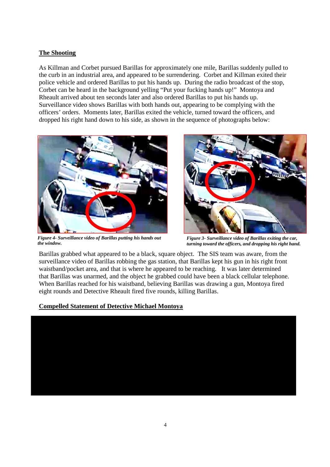#### **The Shooting**

As Killman and Corbet pursued Barillas for approximately one mile, Barillas suddenly pulled to the curb in an industrial area, and appeared to be surrendering. Corbet and Killman exited their police vehicle and ordered Barillas to put his hands up. During the radio broadcast of the stop, Corbet can be heard in the background yelling "Put your fucking hands up!" Montoya and Rheault arrived about ten seconds later and also ordered Barillas to put his hands up. Surveillance video shows Barillas with both hands out, appearing to be complying with the officers' orders. Moments later, Barillas exited the vehicle, turned toward the officers, and dropped his right hand down to his side, as shown in the sequence of photographs below:



*Figure 4- Surveillance video of Barillas putting his hands out the window.*



*Figure 3- Surveillance video of Barillas exiting the car, turning toward the officers, and dropping his right hand.*

Barillas grabbed what appeared to be a black, square object. The SIS team was aware, from the surveillance video of Barillas robbing the gas station, that Barillas kept his gun in his right front waistband/pocket area, and that is where he appeared to be reaching. It was later determined that Barillas was unarmed, and the object he grabbed could have been a black cellular telephone. When Barillas reached for his waistband, believing Barillas was drawing a gun, Montoya fired eight rounds and Detective Rheault fired five rounds, killing Barillas.

#### **Compelled Statement of Detective Michael Montoya**

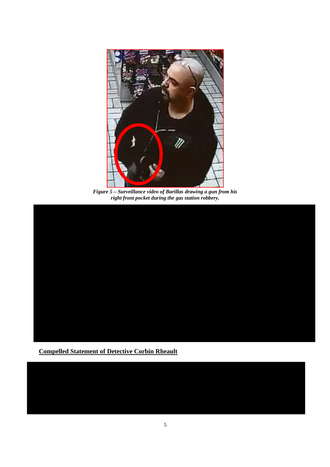

*Figure 5 – Surveillance video of Barillas drawing a gun from his right front pocket during the gas station robbery.*



**Compelled Statement of Detective Corbin Rheault**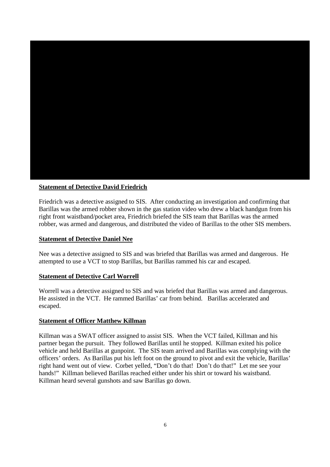

#### **Statement of Detective David Friedrich**

Friedrich was a detective assigned to SIS. After conducting an investigation and confirming that Barillas was the armed robber shown in the gas station video who drew a black handgun from his right front waistband/pocket area, Friedrich briefed the SIS team that Barillas was the armed robber, was armed and dangerous, and distributed the video of Barillas to the other SIS members.

#### **Statement of Detective Daniel Nee**

Nee was a detective assigned to SIS and was briefed that Barillas was armed and dangerous. He attempted to use a VCT to stop Barillas, but Barillas rammed his car and escaped.

#### **Statement of Detective Carl Worrell**

Worrell was a detective assigned to SIS and was briefed that Barillas was armed and dangerous. He assisted in the VCT. He rammed Barillas' car from behind. Barillas accelerated and escaped.

#### **Statement of Officer Matthew Killman**

Killman was a SWAT officer assigned to assist SIS. When the VCT failed, Killman and his partner began the pursuit. They followed Barillas until he stopped. Killman exited his police vehicle and held Barillas at gunpoint. The SIS team arrived and Barillas was complying with the officers' orders. As Barillas put his left foot on the ground to pivot and exit the vehicle, Barillas' right hand went out of view. Corbet yelled, "Don't do that! Don't do that!" Let me see your hands!" Killman believed Barillas reached either under his shirt or toward his waistband. Killman heard several gunshots and saw Barillas go down.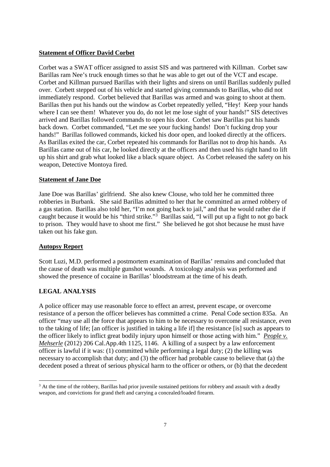#### **Statement of Officer David Corbet**

Corbet was a SWAT officer assigned to assist SIS and was partnered with Killman. Corbet saw Barillas ram Nee's truck enough times so that he was able to get out of the VCT and escape. Corbet and Killman pursued Barillas with their lights and sirens on until Barillas suddenly pulled over. Corbett stepped out of his vehicle and started giving commands to Barillas, who did not immediately respond. Corbet believed that Barillas was armed and was going to shoot at them. Barillas then put his hands out the window as Corbet repeatedly yelled, "Hey! Keep your hands where I can see them! Whatever you do, do not let me lose sight of your hands!" SIS detectives arrived and Barillas followed commands to open his door. Corbet saw Barillas put his hands back down. Corbet commanded, "Let me see your fucking hands! Don't fucking drop your hands!" Barillas followed commands, kicked his door open, and looked directly at the officers. As Barillas exited the car, Corbet repeated his commands for Barillas not to drop his hands. As Barillas came out of his car, he looked directly at the officers and then used his right hand to lift up his shirt and grab what looked like a black square object. As Corbet released the safety on his weapon, Detective Montoya fired.

#### **Statement of Jane Doe**

Jane Doe was Barillas' girlfriend. She also knew Clouse, who told her he committed three robberies in Burbank. She said Barillas admitted to her that he committed an armed robbery of a gas station. Barillas also told her, "I'm not going back to jail," and that he would rather die if caught because it would be his "third strike."<sup>3</sup> Barillas said, "I will put up a fight to not go back to prison. They would have to shoot me first." She believed he got shot because he must have taken out his fake gun.

#### **Autopsy Report**

Scott Luzi, M.D. performed a postmortem examination of Barillas' remains and concluded that the cause of death was multiple gunshot wounds. A toxicology analysis was performed and showed the presence of cocaine in Barillas' bloodstream at the time of his death.

#### **LEGAL ANALYSIS**

A police officer may use reasonable force to effect an arrest, prevent escape, or overcome resistance of a person the officer believes has committed a crime. Penal Code section 835a. An officer "may use all the force that appears to him to be necessary to overcome all resistance, even to the taking of life; [an officer is justified in taking a life if] the resistance [is] such as appears to the officer likely to inflict great bodily injury upon himself or those acting with him." *People v. Mehserle* (2012) 206 Cal.App.4th 1125, 1146. A killing of a suspect by a law enforcement officer is lawful if it was: (1) committed while performing a legal duty; (2) the killing was necessary to accomplish that duty; and (3) the officer had probable cause to believe that (a) the decedent posed a threat of serious physical harm to the officer or others, or (b) that the decedent

<sup>&</sup>lt;sup>3</sup> At the time of the robbery, Barillas had prior juvenile sustained petitions for robbery and assault with a deadly weapon, and convictions for grand theft and carrying a concealed/loaded firearm.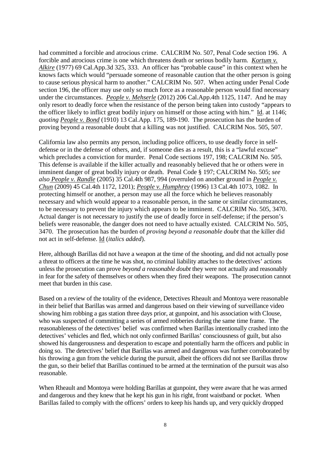had committed a forcible and atrocious crime. CALCRIM No. 507, Penal Code section 196. A forcible and atrocious crime is one which threatens death or serious bodily harm. *Kortum v. Alkire* (1977) 69 Cal.App.3d 325, 333. An officer has "probable cause" in this context when he knows facts which would "persuade someone of reasonable caution that the other person is going to cause serious physical harm to another." CALCRIM No. 507. When acting under Penal Code section 196, the officer may use only so much force as a reasonable person would find necessary under the circumstances. *People v. Mehserle* (2012) 206 Cal.App.4th 1125, 1147. And he may only resort to deadly force when the resistance of the person being taken into custody "appears to the officer likely to inflict great bodily injury on himself or those acting with him." Id. at 1146; *quoting People v. Bond* (1910) 13 Cal.App. 175, 189-190. The prosecution has the burden of proving beyond a reasonable doubt that a killing was not justified. CALCRIM Nos. 505, 507.

California law also permits any person, including police officers, to use deadly force in selfdefense or in the defense of others, and, if someone dies as a result, this is a "lawful excuse" which precludes a conviction for murder. Penal Code sections 197, 198; CALCRIM No. 505. This defense is available if the killer actually and reasonably believed that he or others were in imminent danger of great bodily injury or death. Penal Code § 197; CALCRIM No. 505; *see also People v. Randle* (2005) 35 Cal.4th 987, 994 (overruled on another ground in *People v. Chun* (2009) 45 Cal.4th 1172, 1201); *People v. Humphrey* (1996) 13 Cal.4th 1073, 1082. In protecting himself or another, a person may use all the force which he believes reasonably necessary and which would appear to a reasonable person, in the same or similar circumstances, to be necessary to prevent the injury which appears to be imminent. CALCRIM No. 505, 3470. Actual danger is not necessary to justify the use of deadly force in self-defense; if the person's beliefs were reasonable, the danger does not need to have actually existed. CALCRIM No. 505, 3470. The prosecution has the burden of *proving beyond a reasonable doubt* that the killer did not act in self-defense. Id (*italics added*).

Here, although Barillas did not have a weapon at the time of the shooting, and did not actually pose a threat to officers at the time he was shot, no criminal liability attaches to the detectives' actions unless the prosecution can prove *beyond a reasonable doubt* they were not actually and reasonably in fear for the safety of themselves or others when they fired their weapons. The prosecution cannot meet that burden in this case.

Based on a review of the totality of the evidence, Detectives Rheault and Montoya were reasonable in their belief that Barillas was armed and dangerous based on their viewing of surveillance video showing him robbing a gas station three days prior, at gunpoint, and his association with Clouse, who was suspected of committing a series of armed robberies during the same time frame. The reasonableness of the detectives' belief was confirmed when Barillas intentionally crashed into the detectives' vehicles and fled, which not only confirmed Barillas' consciousness of guilt, but also showed his dangerousness and desperation to escape and potentially harm the officers and public in doing so. The detectives' belief that Barillas was armed and dangerous was further corroborated by his throwing a gun from the vehicle during the pursuit, albeit the officers did not see Barillas throw the gun, so their belief that Barillas continued to be armed at the termination of the pursuit was also reasonable.

When Rheault and Montoya were holding Barillas at gunpoint, they were aware that he was armed and dangerous and they knew that he kept his gun in his right, front waistband or pocket. When Barillas failed to comply with the officers' orders to keep his hands up, and very quickly dropped